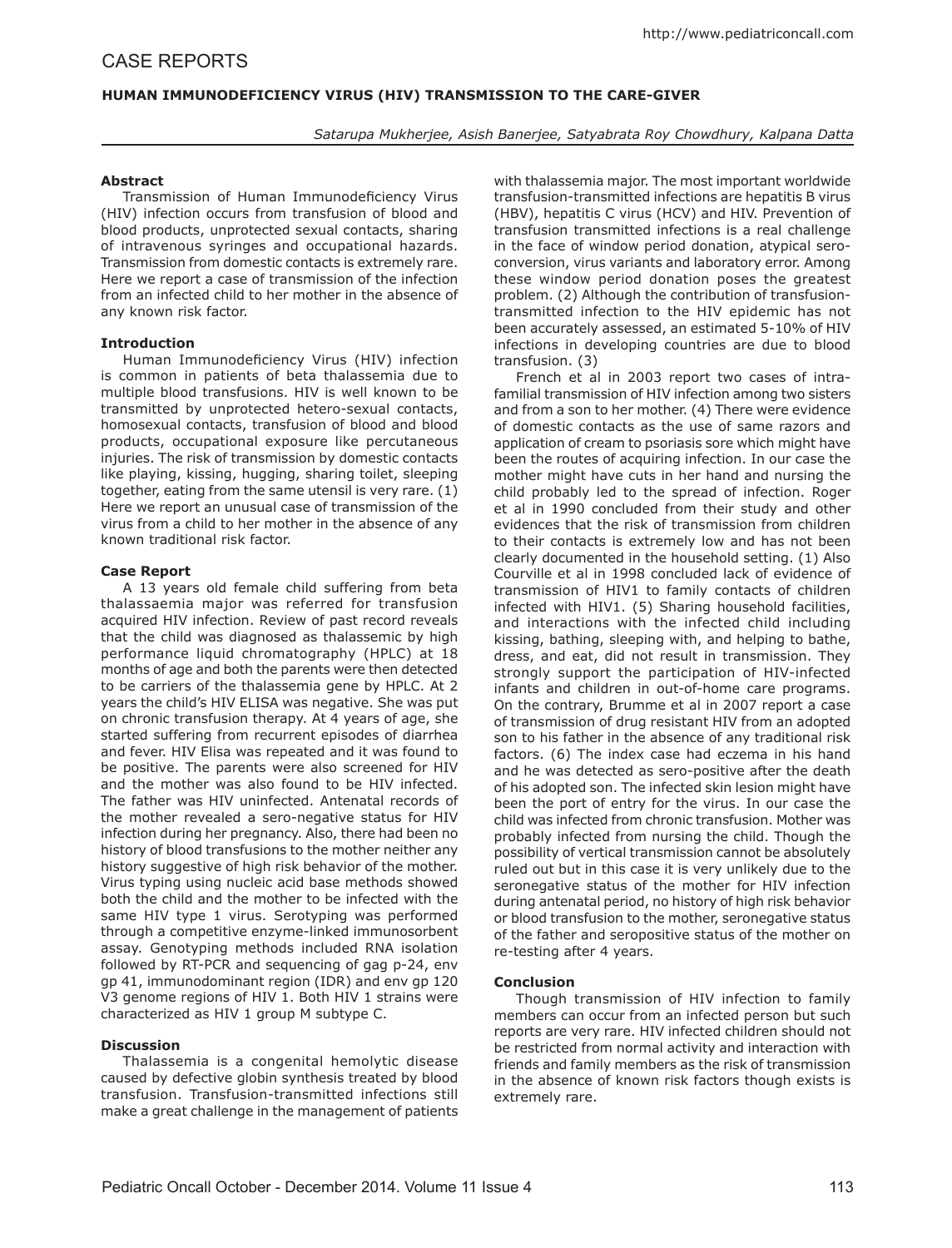# **HUMAN IMMUNODEFICIENCY VIRUS (HIV) TRANSMISSION TO THE CARE-GIVER**

*Satarupa Mukherjee, Asish Banerjee, Satyabrata Roy Chowdhury, Kalpana Datta*

## **Abstract**

Transmission of Human Immunodeficiency Virus (HIV) infection occurs from transfusion of blood and blood products, unprotected sexual contacts, sharing of intravenous syringes and occupational hazards. Transmission from domestic contacts is extremely rare. Here we report a case of transmission of the infection from an infected child to her mother in the absence of any known risk factor.

## **Introduction**

Human Immunodeficiency Virus (HIV) infection is common in patients of beta thalassemia due to multiple blood transfusions. HIV is well known to be transmitted by unprotected hetero-sexual contacts, homosexual contacts, transfusion of blood and blood products, occupational exposure like percutaneous injuries. The risk of transmission by domestic contacts like playing, kissing, hugging, sharing toilet, sleeping together, eating from the same utensil is very rare. (1) Here we report an unusual case of transmission of the virus from a child to her mother in the absence of any known traditional risk factor.

#### **Case Report**

A 13 years old female child suffering from beta thalassaemia major was referred for transfusion acquired HIV infection. Review of past record reveals that the child was diagnosed as thalassemic by high performance liquid chromatography (HPLC) at 18 months of age and both the parents were then detected to be carriers of the thalassemia gene by HPLC. At 2 years the child's HIV ELISA was negative. She was put on chronic transfusion therapy. At 4 years of age, she started suffering from recurrent episodes of diarrhea and fever. HIV Elisa was repeated and it was found to be positive. The parents were also screened for HIV and the mother was also found to be HIV infected. The father was HIV uninfected. Antenatal records of the mother revealed a sero-negative status for HIV infection during her pregnancy. Also, there had been no history of blood transfusions to the mother neither any history suggestive of high risk behavior of the mother. Virus typing using nucleic acid base methods showed both the child and the mother to be infected with the same HIV type 1 virus. Serotyping was performed through a competitive enzyme-linked immunosorbent assay. Genotyping methods included RNA isolation followed by RT-PCR and sequencing of gag p-24, env gp 41, immunodominant region (IDR) and env gp 120 V3 genome regions of HIV 1. Both HIV 1 strains were characterized as HIV 1 group M subtype C.

## **Discussion**

Thalassemia is a congenital hemolytic disease caused by defective globin synthesis treated by blood transfusion. Transfusion-transmitted infections still make a great challenge in the management of patients with thalassemia major. The most important worldwide transfusion-transmitted infections are hepatitis B virus (HBV), hepatitis C virus (HCV) and HIV. Prevention of transfusion transmitted infections is a real challenge in the face of window period donation, atypical seroconversion, virus variants and laboratory error. Among these window period donation poses the greatest problem. (2) Although the contribution of transfusiontransmitted infection to the HIV epidemic has not been accurately assessed, an estimated 5-10% of HIV infections in developing countries are due to blood transfusion. (3)

French et al in 2003 report two cases of intrafamilial transmission of HIV infection among two sisters and from a son to her mother. (4) There were evidence of domestic contacts as the use of same razors and application of cream to psoriasis sore which might have been the routes of acquiring infection. In our case the mother might have cuts in her hand and nursing the child probably led to the spread of infection. Roger et al in 1990 concluded from their study and other evidences that the risk of transmission from children to their contacts is extremely low and has not been clearly documented in the household setting. (1) Also Courville et al in 1998 concluded lack of evidence of transmission of HIV1 to family contacts of children infected with HIV1. (5) Sharing household facilities, and interactions with the infected child including kissing, bathing, sleeping with, and helping to bathe, dress, and eat, did not result in transmission. They strongly support the participation of HIV-infected infants and children in out-of-home care programs. On the contrary, Brumme et al in 2007 report a case of transmission of drug resistant HIV from an adopted son to his father in the absence of any traditional risk factors. (6) The index case had eczema in his hand and he was detected as sero-positive after the death of his adopted son. The infected skin lesion might have been the port of entry for the virus. In our case the child was infected from chronic transfusion. Mother was probably infected from nursing the child. Though the possibility of vertical transmission cannot be absolutely ruled out but in this case it is very unlikely due to the seronegative status of the mother for HIV infection during antenatal period, no history of high risk behavior or blood transfusion to the mother, seronegative status of the father and seropositive status of the mother on re-testing after 4 years.

#### **Conclusion**

Though transmission of HIV infection to family members can occur from an infected person but such reports are very rare. HIV infected children should not be restricted from normal activity and interaction with friends and family members as the risk of transmission in the absence of known risk factors though exists is extremely rare.